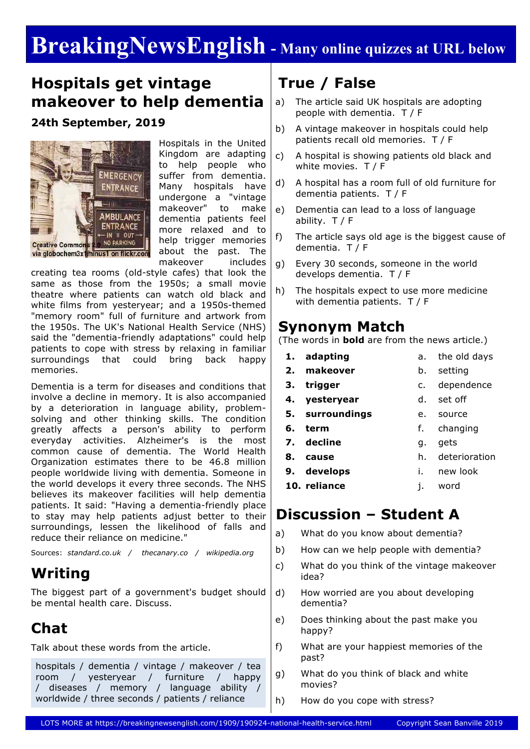# **BreakingNewsEnglish - Many online quizzes at URL below**

## **Hospitals get vintage makeover to help dementia**

**24th September, 2019**



Hospitals in the United Kingdom are adapting to help people who suffer from dementia. Many hospitals have undergone a "vintage makeover" to make dementia patients feel more relaxed and to help trigger memories about the past. The makeover includes

creating tea rooms (old-style cafes) that look the same as those from the 1950s; a small movie theatre where patients can watch old black and white films from yesteryear; and a 1950s-themed "memory room" full of furniture and artwork from the 1950s. The UK's National Health Service (NHS) said the "dementia-friendly adaptations" could help patients to cope with stress by relaxing in familiar surroundings that could bring back happy memories.

Dementia is a term for diseases and conditions that involve a decline in memory. It is also accompanied by a deterioration in language ability, problemsolving and other thinking skills. The condition greatly affects a person's ability to perform everyday activities. Alzheimer's is the most common cause of dementia. The World Health Organization estimates there to be 46.8 million people worldwide living with dementia. Someone in the world develops it every three seconds. The NHS believes its makeover facilities will help dementia patients. It said: "Having a dementia-friendly place to stay may help patients adjust better to their surroundings, lessen the likelihood of falls and reduce their reliance on medicine."

Sources: *standard.co.uk / thecanary.co / wikipedia.org*

## **Writing**

The biggest part of a government's budget should be mental health care. Discuss.

## **Chat**

Talk about these words from the article.

hospitals / dementia / vintage / makeover / tea room / yesteryear / furniture / happy / diseases / memory / language ability / worldwide / three seconds / patients / reliance

# **True / False**

- a) The article said UK hospitals are adopting people with dementia. T / F
- b) A vintage makeover in hospitals could help patients recall old memories. T / F
- c) A hospital is showing patients old black and white movies. T / F
- d) A hospital has a room full of old furniture for dementia patients. T / F
- e) Dementia can lead to a loss of language ability. T / F
- f) The article says old age is the biggest cause of dementia. T / F
- g) Every 30 seconds, someone in the world develops dementia. T / F
- h) The hospitals expect to use more medicine with dementia patients. T / F

### **Synonym Match**

(The words in **bold** are from the news article.)

- **1. adapting**
- **2. makeover**

**9. develops**

- 
- **3. trigger**
- c. dependence

b. setting

a. the old days

- **4. yesteryear** d. set off
- **5. surroundings** e. source
- **6. term** f. changing
- **7. decline** g. gets
- **8. cause** h. deterioration
	- i. new look
- **10. reliance** j. word

### **Discussion – Student A**

- a) What do you know about dementia?
- b) How can we help people with dementia?
- c) What do you think of the vintage makeover idea?
- d) How worried are you about developing dementia?
- e) Does thinking about the past make you happy?
- f) What are your happiest memories of the past?
- g) What do you think of black and white movies?
- h) How do you cope with stress?